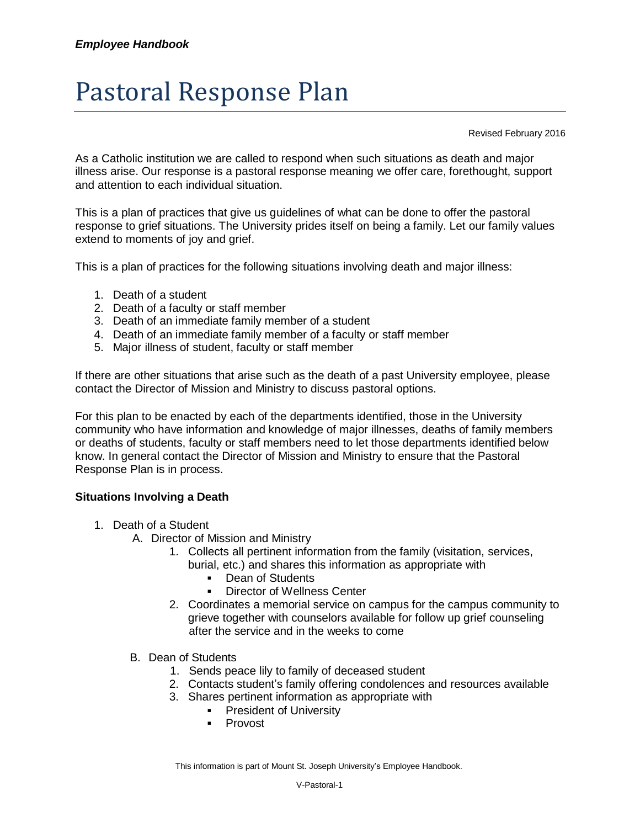## Pastoral Response Plan

Revised February 2016

As a Catholic institution we are called to respond when such situations as death and major illness arise. Our response is a pastoral response meaning we offer care, forethought, support and attention to each individual situation.

This is a plan of practices that give us guidelines of what can be done to offer the pastoral response to grief situations. The University prides itself on being a family. Let our family values extend to moments of joy and grief.

This is a plan of practices for the following situations involving death and major illness:

- 1. Death of a student
- 2. Death of a faculty or staff member
- 3. Death of an immediate family member of a student
- 4. Death of an immediate family member of a faculty or staff member
- 5. Major illness of student, faculty or staff member

If there are other situations that arise such as the death of a past University employee, please contact the Director of Mission and Ministry to discuss pastoral options.

For this plan to be enacted by each of the departments identified, those in the University community who have information and knowledge of major illnesses, deaths of family members or deaths of students, faculty or staff members need to let those departments identified below know. In general contact the Director of Mission and Ministry to ensure that the Pastoral Response Plan is in process.

## **Situations Involving a Death**

- 1. Death of a Student
	- A. Director of Mission and Ministry
		- 1. Collects all pertinent information from the family (visitation, services,
			- burial, etc.) and shares this information as appropriate with
				- Dean of Students
				- Director of Wellness Center
		- 2. Coordinates a memorial service on campus for the campus community to grieve together with counselors available for follow up grief counseling after the service and in the weeks to come
	- B. Dean of Students
		- 1. Sends peace lily to family of deceased student
		- 2. Contacts student's family offering condolences and resources available
		- 3. Shares pertinent information as appropriate with
			- **•** President of University
			- **Provost**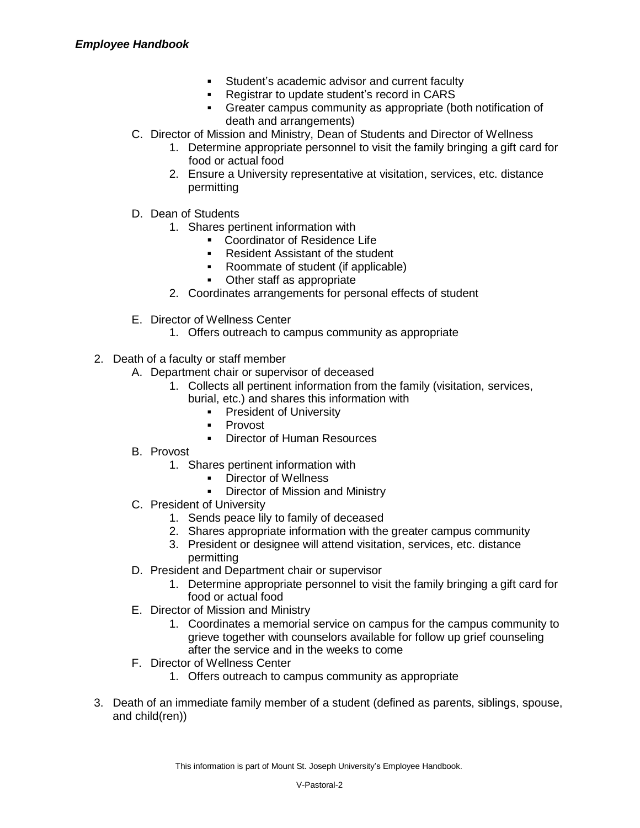- Student's academic advisor and current faculty
- **Registrar to update student's record in CARS**
- Greater campus community as appropriate (both notification of death and arrangements)
- C. Director of Mission and Ministry, Dean of Students and Director of Wellness
	- 1. Determine appropriate personnel to visit the family bringing a gift card for food or actual food
	- 2. Ensure a University representative at visitation, services, etc. distance permitting
- D. Dean of Students
	- 1. Shares pertinent information with
		- **Coordinator of Residence Life**
		- **Resident Assistant of the student**
		- Roommate of student (if applicable)
		- Other staff as appropriate
	- 2. Coordinates arrangements for personal effects of student
- E. Director of Wellness Center
	- 1. Offers outreach to campus community as appropriate
- 2. Death of a faculty or staff member
	- A. Department chair or supervisor of deceased
		- 1. Collects all pertinent information from the family (visitation, services, burial, etc.) and shares this information with
			- - **President of University**
				- **Provost**
				- **Director of Human Resources**
	- B. Provost
		- 1. Shares pertinent information with
			- **Director of Wellness**
			- Director of Mission and Ministry
	- C. President of University
		- 1. Sends peace lily to family of deceased
		- 2. Shares appropriate information with the greater campus community
		- 3. President or designee will attend visitation, services, etc. distance permitting
	- D. President and Department chair or supervisor
		- 1. Determine appropriate personnel to visit the family bringing a gift card for food or actual food
	- E. Director of Mission and Ministry
		- 1. Coordinates a memorial service on campus for the campus community to grieve together with counselors available for follow up grief counseling after the service and in the weeks to come
	- F. Director of Wellness Center
		- 1. Offers outreach to campus community as appropriate
- 3. Death of an immediate family member of a student (defined as parents, siblings, spouse, and child(ren))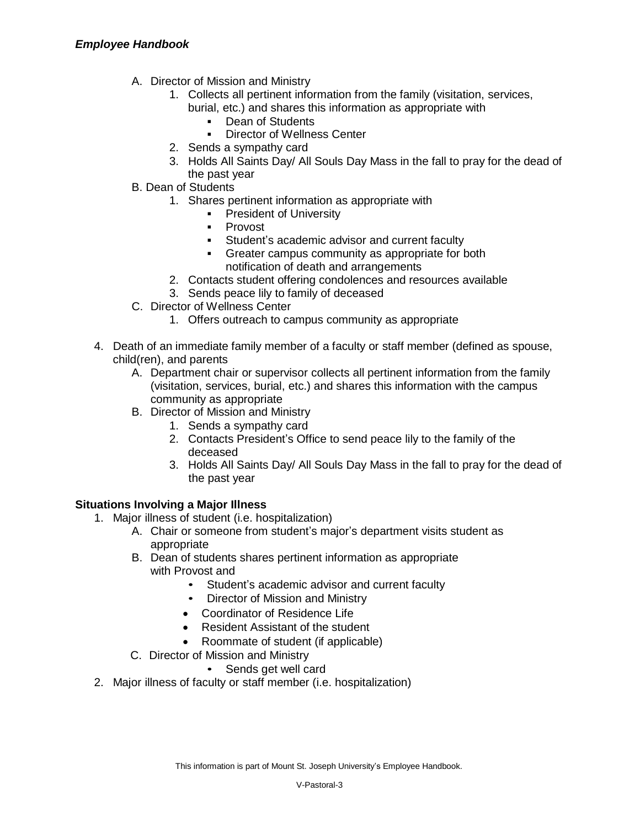- A. Director of Mission and Ministry
	- 1. Collects all pertinent information from the family (visitation, services, burial, etc.) and shares this information as appropriate with
		- **-** Dean of Students
		- **Director of Wellness Center**
	- 2. Sends a sympathy card
	- 3. Holds All Saints Day/ All Souls Day Mass in the fall to pray for the dead of the past year
- B. Dean of Students
	- 1. Shares pertinent information as appropriate with
		- **President of University**
		- **-** Provost
		- **Student's academic advisor and current faculty**
		- Greater campus community as appropriate for both notification of death and arrangements
	- 2. Contacts student offering condolences and resources available
	- 3. Sends peace lily to family of deceased
- C. Director of Wellness Center
	- 1. Offers outreach to campus community as appropriate
- 4. Death of an immediate family member of a faculty or staff member (defined as spouse, child(ren), and parents
	- A. Department chair or supervisor collects all pertinent information from the family (visitation, services, burial, etc.) and shares this information with the campus community as appropriate
	- B. Director of Mission and Ministry
		- 1. Sends a sympathy card
		- 2. Contacts President's Office to send peace lily to the family of the deceased
		- 3. Holds All Saints Day/ All Souls Day Mass in the fall to pray for the dead of the past year

## **Situations Involving a Major Illness**

- 1. Major illness of student (i.e. hospitalization)
	- A. Chair or someone from student's major's department visits student as appropriate
	- B. Dean of students shares pertinent information as appropriate with Provost and
		- Student's academic advisor and current faculty
		- Director of Mission and Ministry
		- Coordinator of Residence Life
		- Resident Assistant of the student
		- Roommate of student (if applicable)
	- C. Director of Mission and Ministry
		- Sends get well card
- 2. Major illness of faculty or staff member (i.e. hospitalization)